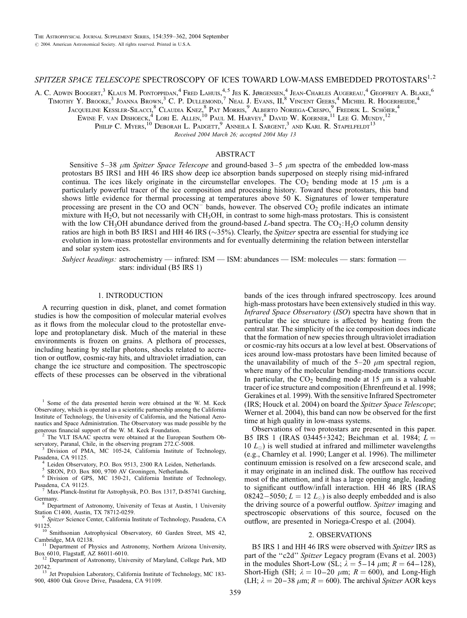# SPITZER SPACE TELESCOPE SPECTROSCOPY OF ICES TOWARD LOW-MASS EMBEDDED PROTOSTARS<sup>1,2</sup>

A. C. Adwin Boogert,<sup>3</sup> Klaus M. Pontoppidan,<sup>4</sup> Fred Lahuis,<sup>4,5</sup> Jes K. Jørgensen,<sup>4</sup> Jean-Charles Augereau,<sup>4</sup> Geoffrey A. Blake,<sup>6</sup>

Timothy Y. Brooke,<sup>3</sup> Joanna Brown,<sup>3</sup> C. P. Dullemond,<sup>7</sup> Neal J. Evans, II,<sup>8</sup> Vincent Geers,<sup>4</sup> Michiel R. Hogerheide,<sup>4</sup>

Jacoueline Kessler-Silacci,<sup>8</sup> Claudia Knez,<sup>8</sup> Pat Morris,<sup>9</sup> Alberto Noriega-Crespo,<sup>9</sup> Fredrik L. Schöier,<sup>4</sup>

EWINE F. VAN DISHOECK,<sup>4</sup> LORI E. ALLEN,<sup>10</sup> PAUL M. HARVEY,<sup>8</sup> DAVID W. KOERNER,<sup>11</sup> LEE G. MUNDY,<sup>12</sup>

Philip C. Myers, <sup>10</sup> Deborah L. Padgett, <sup>9</sup> Anneila I. Sargent, <sup>3</sup> and Karl R. Stapelfeldt<sup>13</sup>

Received 2004 March 26; accepted 2004 May 13

## ABSTRACT

Sensitive 5–38  $\mu$ m Spitzer Space Telescope and ground-based 3–5  $\mu$ m spectra of the embedded low-mass protostars B5 IRS1 and HH 46 IRS show deep ice absorption bands superposed on steeply rising mid-infrared continua. The ices likely originate in the circumstellar envelopes. The  $CO<sub>2</sub>$  bending mode at 15  $\mu$ m is a particularly powerful tracer of the ice composition and processing history. Toward these protostars, this band shows little evidence for thermal processing at temperatures above 50 K. Signatures of lower temperature processing are present in the  $CO$  and  $OCN^-$  bands, however. The observed  $CO_2$  profile indicates an intimate mixture with  $H<sub>2</sub>O$ , but not necessarily with CH<sub>3</sub>OH, in contrast to some high-mass protostars. This is consistent with the low CH<sub>3</sub>OH abundance derived from the ground-based L-band spectra. The CO<sub>2</sub>: H<sub>2</sub>O column density ratios are high in both B5 IRS1 and HH 46 IRS ( $\sim$ 35%). Clearly, the *Spitzer* spectra are essential for studying ice evolution in low-mass protostellar environments and for eventually determining the relation between interstellar and solar system ices.

Subject headings: astrochemistry — infrared: ISM — ISM: abundances — ISM: molecules — stars: formation stars: individual (B5 IRS 1)

# 1. INTRODUCTION

A recurring question in disk, planet, and comet formation studies is how the composition of molecular material evolves as it flows from the molecular cloud to the protostellar envelope and protoplanetary disk. Much of the material in these environments is frozen on grains. A plethora of processes, including heating by stellar photons, shocks related to accretion or outflow, cosmic-ray hits, and ultraviolet irradiation, can change the ice structure and composition. The spectroscopic effects of these processes can be observed in the vibrational

 $1$  Some of the data presented herein were obtained at the W. M. Keck Observatory, which is operated as a scientific partnership among the California Institute of Technology, the University of California, and the National Aeronautics and Space Administration. The Observatory was made possible by the generous financial support of the W. M. Keck Foundation.

The VLT ISAAC spectra were obtained at the European Southern Ob-

servatory, Paranal, Chile, in the observing program 272.C-5008.<br><sup>3</sup> Division of PMA, MC 105-24, California Institute of Technology, Pasadena, CA 91125.

<sup>4</sup> Leiden Observatory, P.O. Box 9513, 2300 RA Leiden, Netherlands.<br><sup>5</sup> SRON, P.O. Box 800, 9700 AV Groningen, Netherlands.<br><sup>6</sup> Division of GPS, MC 150-21, California Institute of Technology,

Pasadena, CA 91125.<br><sup>7</sup> Max-Planck-Institut für Astrophysik, P.O. Box 1317, D-85741 Garching, Germany.

Department of Astronomy, University of Texas at Austin, 1 University Station C1400, Austin, TX 78712-0259.<br><sup>9</sup> Spitzer Science Center, California Institute of Technology, Pasadena, CA

91125.<br><sup>10</sup> Smithsonian Astrophysical Observatory, 60 Garden Street, MS 42,

 $^{11}$  Department of Physics and Astronomy, Northern Arizona University,

Box 6010, Flagstaff, AZ 86011-6010.<br><sup>12</sup> Department of Astronomy, University of Maryland, College Park, MD<br>20742.

 $^{13}$  Jet Propulsion Laboratory, California Institute of Technology, MC 183-900, 4800 Oak Grove Drive, Pasadena, CA 91109.

bands of the ices through infrared spectroscopy. Ices around high-mass protostars have been extensively studied in this way. Infrared Space Observatory (ISO) spectra have shown that in particular the ice structure is affected by heating from the central star. The simplicity of the ice composition does indicate that the formation of new species through ultraviolet irradiation or cosmic-ray hits occurs at a low level at best. Observations of ices around low-mass protostars have been limited because of the unavailability of much of the  $5-20 \mu m$  spectral region, where many of the molecular bending-mode transitions occur. In particular, the CO<sub>2</sub> bending mode at 15  $\mu$ m is a valuable tracer of ice structure and composition (Ehrenfreund et al. 1998; Gerakines et al. 1999). With the sensitive Infrared Spectrometer (IRS; Houck et al. 2004) on board the Spitzer Space Telescope; Werner et al. 2004), this band can now be observed for the first time at high quality in low-mass systems.

Observations of two protostars are presented in this paper. B5 IRS 1 (IRAS 03445+3242; Beichman et al. 1984;  $L =$ 10  $L_{\odot}$ ) is well studied at infrared and millimeter wavelengths (e.g., Charnley et al. 1990; Langer et al. 1996). The millimeter continuum emission is resolved on a few arcsecond scale, and it may originate in an inclined disk. The outflow has received most of the attention, and it has a large opening angle, leading to significant outflow/infall interaction. HH 46 IRS (IRAS 08242–5050;  $L = 12 L_{\odot}$ ) is also deeply embedded and is also the driving source of a powerful outflow. Spitzer imaging and spectroscopic observations of this source, focused on the outflow, are presented in Noriega-Crespo et al. (2004).

## 2. OBSERVATIONS

B5 IRS 1 and HH 46 IRS were observed with Spitzer IRS as part of the "c2d" Spitzer Legacy program (Evans et al. 2003) in the modules Short-Low (SL;  $\lambda = 5 - 14 \mu m$ ;  $R = 64 - 128$ ), Short-High (SH;  $\lambda = 10-20 \mu m$ ;  $R = 600$ ), and Long-High (LH;  $\lambda = 20-38 \mu m$ ;  $R = 600$ ). The archival *Spitzer* AOR keys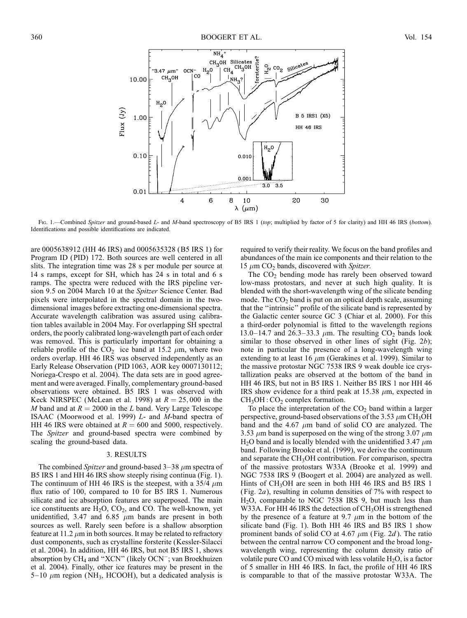

Fig. 1.—Combined Spitzer and ground-based L- and M-band spectroscopy of B5 IRS 1 (top; multiplied by factor of 5 for clarity) and HH 46 IRS (bottom). Identifications and possible identifications are indicated.

are 0005638912 (HH 46 IRS) and 0005635328 (B5 IRS 1) for Program ID (PID) 172. Both sources are well centered in all slits. The integration time was 28 s per module per source at 14 s ramps, except for SH, which has 24 s in total and 6 s ramps. The spectra were reduced with the IRS pipeline version 9.5 on 2004 March 10 at the Spitzer Science Center. Bad pixels were interpolated in the spectral domain in the twodimensional images before extracting one-dimensional spectra. Accurate wavelength calibration was assured using calibration tables available in 2004 May. For overlapping SH spectral orders, the poorly calibrated long-wavelength part of each order was removed. This is particularly important for obtaining a reliable profile of the  $CO<sub>2</sub>$  ice band at 15.2  $\mu$ m, where two orders overlap. HH 46 IRS was observed independently as an Early Release Observation (PID 1063, AOR key 0007130112; Noriega-Crespo et al. 2004). The data sets are in good agreement and were averaged. Finally, complementary ground-based observations were obtained. B5 IRS 1 was observed with Keck NIRSPEC (McLean et al. 1998) at  $R = 25,000$  in the M band and at  $R = 2000$  in the L band. Very Large Telescope ISAAC (Moorwood et al. 1999) L- and M-band spectra of HH 46 IRS were obtained at  $R = 600$  and 5000, respectively. The *Spitzer* and ground-based spectra were combined by scaling the ground-based data.

#### 3. RESULTS

The combined *Spitzer* and ground-based  $3-38 \mu m$  spectra of B5 IRS 1 and HH 46 IRS show steeply rising continua (Fig. 1). The continuum of HH 46 IRS is the steepest, with a 35/4  $\mu$ m flux ratio of 100, compared to 10 for B5 IRS 1. Numerous silicate and ice absorption features are superposed. The main ice constituents are  $H_2O$ ,  $CO_2$ , and CO. The well-known, yet unidentified, 3.47 and 6.85  $\mu$ m bands are present in both sources as well. Rarely seen before is a shallow absorption feature at 11.2  $\mu$ m in both sources. It may be related to refractory dust components, such as crystalline forsterite (Kessler-Silacci et al. 2004). In addition, HH 46 IRS, but not B5 IRS 1, shows absorption by  $CH_4$  and "XCN" (likely  $OCN^-$ ; van Broekhuizen et al. 2004). Finally, other ice features may be present in the  $5-10 \mu$ m region (NH<sub>3</sub>, HCOOH), but a dedicated analysis is

required to verify their reality. We focus on the band profiles and abundances of the main ice components and their relation to the 15  $\mu$ m CO<sub>2</sub> bands, discovered with Spitzer.

The  $CO<sub>2</sub>$  bending mode has rarely been observed toward low-mass protostars, and never at such high quality. It is blended with the short-wavelength wing of the silicate bending mode. The  $CO<sub>2</sub>$  band is put on an optical depth scale, assuming that the ''intrinsic'' profile of the silicate band is represented by the Galactic center source GC 3 (Chiar et al. 2000). For this a third-order polynomial is fitted to the wavelength regions 13.0–14.7 and 26.3–33.3  $\mu$ m. The resulting CO<sub>2</sub> bands look similar to those observed in other lines of sight (Fig. 2b); note in particular the presence of a long-wavelength wing extending to at least 16  $\mu$ m (Gerakines et al. 1999). Similar to the massive protostar NGC 7538 IRS 9 weak double ice crystallization peaks are observed at the bottom of the band in HH 46 IRS, but not in B5 IRS 1. Neither B5 IRS 1 nor HH 46 IRS show evidence for a third peak at  $15.38 \mu m$ , expected in  $CH<sub>3</sub>OH$  :  $CO<sub>2</sub>$  complex formation.

To place the interpretation of the  $CO<sub>2</sub>$  band within a larger perspective, ground-based observations of the 3.53  $\mu$ m CH<sub>3</sub>OH band and the 4.67  $\mu$ m band of solid CO are analyzed. The 3.53  $\mu$ m band is superposed on the wing of the strong 3.07  $\mu$ m  $H<sub>2</sub>O$  band and is locally blended with the unidentified 3.47  $\mu$ m band. Following Brooke et al. (1999), we derive the continuum and separate the CH<sub>3</sub>OH contribution. For comparison, spectra of the massive protostars W33A (Brooke et al. 1999) and NGC 7538 IRS 9 (Boogert et al. 2004) are analyzed as well. Hints of  $CH<sub>3</sub>OH$  are seen in both HH 46 IRS and B5 IRS 1 (Fig. 2a), resulting in column densities of 7% with respect to H2O, comparable to NGC 7538 IRS 9, but much less than W33A. For HH 46 IRS the detection of CH<sub>3</sub>OH is strengthened by the presence of a feature at 9.7  $\mu$ m in the bottom of the silicate band (Fig. 1). Both HH 46 IRS and B5 IRS 1 show prominent bands of solid CO at 4.67  $\mu$ m (Fig. 2d). The ratio between the central narrow CO component and the broad longwavelength wing, representing the column density ratio of volatile pure CO and CO mixed with less volatile  $H_2O$ , is a factor of 5 smaller in HH 46 IRS. In fact, the profile of HH 46 IRS is comparable to that of the massive protostar W33A. The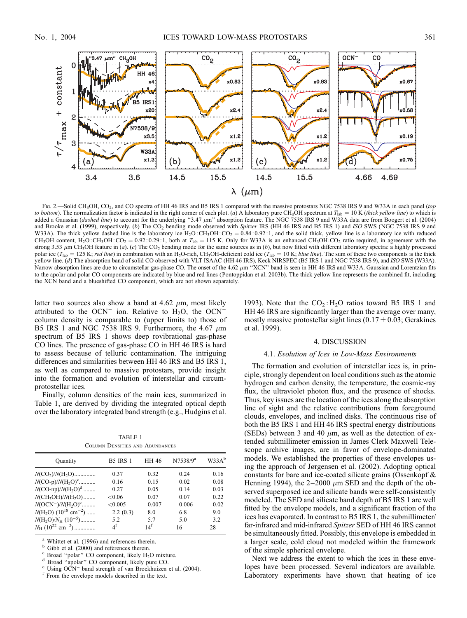

Fig. 2.—Solid CH<sub>3</sub>OH, CO<sub>2</sub>, and CO spectra of HH 46 IRS and B5 IRS 1 compared with the massive protostars NGC 7538 IRS 9 and W33A in each panel (top to bottom). The normalization factor is indicated in the right corner of each plot. (a) A laboratory pure CH<sub>3</sub>OH spectrum at  $T_{\text{lab}} = 10$  K (thick yellow line) to which is added a Gaussian (dashed line) to account for the underlying "3.47  $\mu$ m" absorption feature. The NGC 7538 IRS 9 and W33A data are from Boogert et al. (2004) and Brooke et al. (1999), respectively. (b) The CO<sub>2</sub> bending mode observed with Spitzer IRS (HH 46 IRS and B5 IRS 1) and ISO SWS (NGC 7538 IRS 9 and W33A). The thick yellow dashed line is the laboratory ice  $H_2O:CH_3OH:CO_2 = 0.84:0.92:1$ , and the solid thick, yellow line is a laboratory ice with reduced CH<sub>3</sub>OH content, H<sub>2</sub>O:CH<sub>3</sub>OH:CO<sub>2</sub> = 0.92: 0.29:1, both at T<sub>lab</sub> = 115 K. Only for W33A is an enhanced CH<sub>3</sub>OH:CO<sub>2</sub> ratio required, in agreement with the strong 3.53  $\mu$ m CH<sub>3</sub>OH feature in (a). (c) The CO<sub>2</sub> bending mode for the same sources as in (b), but now fitted with different laboratory spectra: a highly processed polar ice (T<sub>lab</sub> = 125 K; *red line*) in combination with an H<sub>2</sub>O-rich, CH<sub>3</sub>OH-deficient cold ice (T<sub>lab</sub> = 10 K; *blue line*). The sum of these two components is the thick yellow line. (d) The absorption band of solid CO observed with VLT ISAAC (HH 46 IRS), Keck NIRSPEC (B5 IRS 1 and NGC 7538 IRS 9), and ISO SWS (W33A). Narrow absorption lines are due to circumstellar gas-phase CO. The onset of the 4.62  $\mu$ m "XCN" band is seen in HH 46 IRS and W33A. Gaussian and Lorentzian fits to the apolar and polar CO components are indicated by blue and red lines (Pontoppidan et al. 2003b). The thick yellow line represents the combined fit, including the XCN band and a blueshifted CO component, which are not shown separately.

latter two sources also show a band at 4.62  $\mu$ m, most likely attributed to the OCN<sup>-</sup> ion. Relative to  $H_2O$ , the OCN<sup>-</sup> column density is comparable to (upper limits to) those of B5 IRS 1 and NGC 7538 IRS 9. Furthermore, the 4.67  $\mu$ m spectrum of B5 IRS 1 shows deep rovibrational gas-phase CO lines. The presence of gas-phase CO in HH 46 IRS is hard to assess because of telluric contamination. The intriguing differences and similarities between HH 46 IRS and B5 IRS 1, as well as compared to massive protostars, provide insight into the formation and evolution of interstellar and circumprotostellar ices.

Finally, column densities of the main ices, summarized in Table 1, are derived by dividing the integrated optical depth over the laboratory integrated band strength (e.g., Hudgins et al.

TABLE 1 Column Densities and Abundances

| <b>Quantity</b>                                | <b>B5 IRS 1</b> | HH 46  | $N7538/9^a$ | $W33A^b$ |
|------------------------------------------------|-----------------|--------|-------------|----------|
| $N(CO_2)/N(H_2O)$                              | 0.37            | 0.32   | 0.24        | 0.16     |
| $N({\rm CO-}p)/N({\rm H_2O})^c$                | 0.16            | 0.15   | 0.02        | 0.08     |
| $N({\rm CO}$ -np)/ $N({\rm H}_2{\rm O})^d$     | 0.27            | 0.05   | 0.14        | 0.03     |
| $N(CH_3OH)/N(H_2O)$                            | ${<}0.06$       | 0.07   | 0.07        | 0.22     |
| $N(OCN^{-})/N(H_2O)^e$                         | < 0.005         | 0.007  | 0.006       | 0.02     |
| $N(H_2O)$ (10 <sup>18</sup> cm <sup>-2</sup> ) | 2.2(0.3)        | 8.0    | 6.8         | 9.0      |
| $N(H_2O)/N_H$ (10 <sup>-5</sup> )              | 5.2             | 57     | 5.0         | 3.2      |
| $N_H$ (10 <sup>22</sup> cm <sup>-2</sup> )     | $4^{\rm f}$     | $14^1$ | 16          | 28       |

<sup>a</sup> Whittet et al. (1996) and references therein.<br>
<sup>b</sup> Gibb et al. (2000) and references therein.<br>
<sup>c</sup> Broad "polar" CO component, likely H<sub>2</sub>O mixture.<br>
<sup>d</sup> Broad "apolar" CO component, likely pure CO.<br>
<sup>e</sup> Using OCN<sup>-</sup>

1993). Note that the  $CO_2$ : H<sub>2</sub>O ratios toward B5 IRS 1 and HH 46 IRS are significantly larger than the average over many, mostly massive protostellar sight lines  $(0.17 \pm 0.03)$ ; Gerakines et al. 1999).

#### 4. DISCUSSION

#### 4.1. Evolution of Ices in Low-Mass Environments

The formation and evolution of interstellar ices is, in principle, strongly dependent on local conditions such as the atomic hydrogen and carbon density, the temperature, the cosmic-ray flux, the ultraviolet photon flux, and the presence of shocks. Thus, key issues are the location of the ices along the absorption line of sight and the relative contributions from foreground clouds, envelopes, and inclined disks. The continuous rise of both the B5 IRS 1 and HH 46 IRS spectral energy distributions (SEDs) between 3 and 40  $\mu$ m, as well as the detection of extended submillimeter emission in James Clerk Maxwell Telescope archive images, are in favor of envelope-dominated models. We established the properties of these envelopes using the approach of Jørgensen et al. (2002). Adopting optical constants for bare and ice-coated silicate grains (Ossenkopf & Henning 1994), the 2–2000  $\mu$ m SED and the depth of the observed superposed ice and silicate bands were self-consistently modeled. The SED and silicate band depth of B5 IRS 1 are well fitted by the envelope models, and a significant fraction of the ices has evaporated. In contrast to B5 IRS 1, the submillimeter/ far-infrared and mid-infrared Spitzer SED of HH 46 IRS cannot be simultaneously fitted. Possibly, this envelope is embedded in a larger scale, cold cloud not modeled within the framework of the simple spherical envelope.

Next we address the extent to which the ices in these envelopes have been processed. Several indicators are available. Laboratory experiments have shown that heating of ice